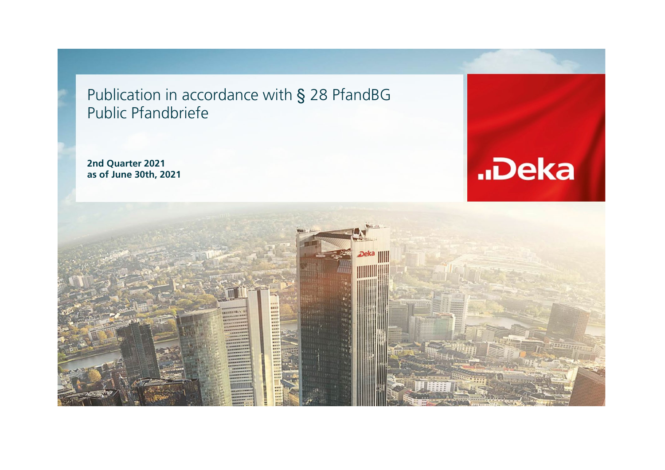Publication in accordance with § 28 PfandBG Public Pfandbriefe

**2nd Quarter 2021 as of June 30th, 2021**



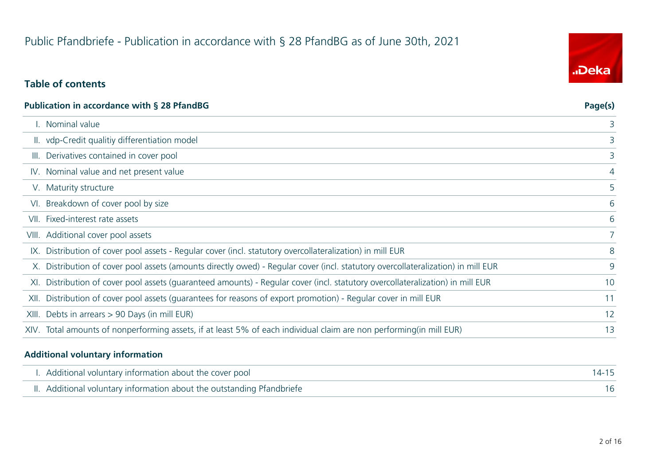# **Table of contents**

| Publication in accordance with § 28 PfandBG                                                                                      | Page(s) |
|----------------------------------------------------------------------------------------------------------------------------------|---------|
| I. Nominal value                                                                                                                 | 3       |
| II. vdp-Credit qualitiy differentiation model                                                                                    | 3       |
| III. Derivatives contained in cover pool                                                                                         | 3       |
| IV. Nominal value and net present value                                                                                          | 4       |
| V. Maturity structure                                                                                                            | 5       |
| VI. Breakdown of cover pool by size                                                                                              | 6       |
| VII. Fixed-interest rate assets                                                                                                  | 6       |
| VIII. Additional cover pool assets                                                                                               | 7       |
| IX. Distribution of cover pool assets - Regular cover (incl. statutory overcollateralization) in mill EUR                        | 8       |
| X. Distribution of cover pool assets (amounts directly owed) - Regular cover (incl. statutory overcollateralization) in mill EUR | 9       |
| XI. Distribution of cover pool assets (quaranteed amounts) - Regular cover (incl. statutory overcollateralization) in mill EUR   | 10      |
| XII. Distribution of cover pool assets (quarantees for reasons of export promotion) - Regular cover in mill EUR                  | 11      |
| XIII. Debts in arrears > 90 Days (in mill EUR)                                                                                   | 12      |
| XIV. Total amounts of nonperforming assets, if at least 5% of each individual claim are non performing(in mill EUR)              | 13      |
|                                                                                                                                  |         |

#### **Additional voluntary information**

| I. Additional voluntary information about the cover pool               |  |
|------------------------------------------------------------------------|--|
| II. Additional voluntary information about the outstanding Pfandbriefe |  |

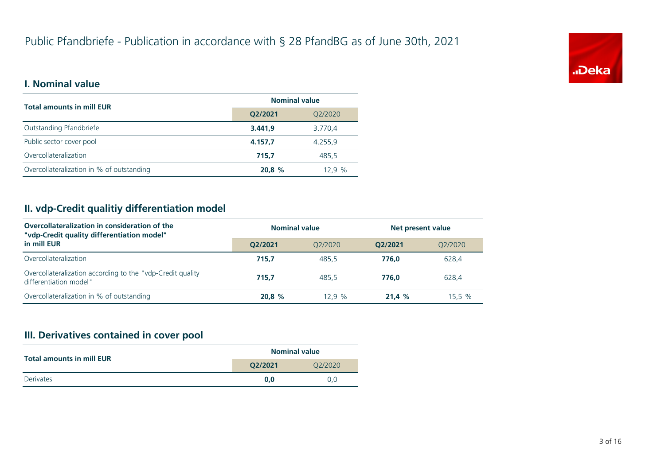

### **I. Nominal value**

| <b>Total amounts in mill EUR</b>          | <b>Nominal value</b> |         |
|-------------------------------------------|----------------------|---------|
|                                           | Q2/2021              | Q2/2020 |
| Outstanding Pfandbriefe                   | 3.441.9              | 3.770,4 |
| Public sector cover pool                  | 4.157.7              | 4.255.9 |
| Overcollateralization                     | 715.7                | 485.5   |
| Overcollateralization in % of outstanding | 20.8 %               | 12.9%   |

# **II. vdp-Credit qualitiy differentiation model**

| Overcollateralization in consideration of the<br>"vdp-Credit quality differentiation model" | <b>Nominal value</b><br>Net present value |         |         |         |
|---------------------------------------------------------------------------------------------|-------------------------------------------|---------|---------|---------|
| in mill EUR                                                                                 | O2/2021                                   | 02/2020 | O2/2021 | 02/2020 |
| Overcollateralization                                                                       | 715.7                                     | 485.5   | 776.0   | 628,4   |
| Overcollateralization according to the "vdp-Credit quality<br>differentiation model"        | 715.7                                     | 485.5   | 776.0   | 628.4   |
| Overcollateralization in % of outstanding                                                   | 20.8%                                     | 12.9%   | 21.4%   | 15.5 %  |

# **III. Derivatives contained in cover pool**

| <b>Total amounts in mill EUR</b> | <b>Nominal value</b> |         |
|----------------------------------|----------------------|---------|
|                                  | O2/2021              | O2/2020 |
| <b>Derivates</b>                 | 0.0                  | 0.0     |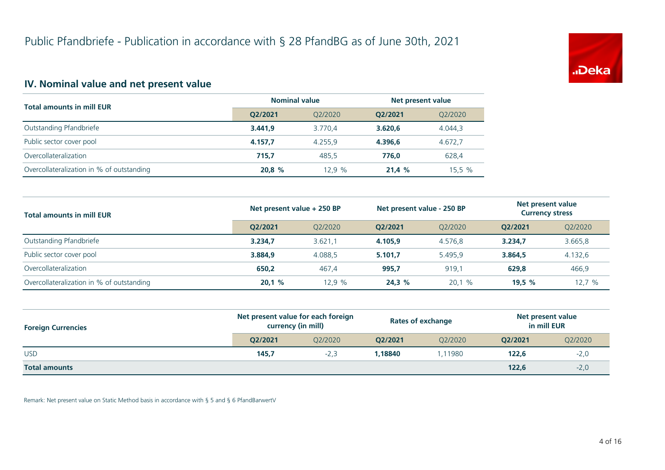

# **IV. Nominal value and net present value**

| <b>Total amounts in mill EUR</b>          | <b>Nominal value</b> |         | Net present value |         |
|-------------------------------------------|----------------------|---------|-------------------|---------|
|                                           | O2/2021              | 02/2020 | O2/2021           | Q2/2020 |
| Outstanding Pfandbriefe                   | 3.441.9              | 3.770.4 | 3.620.6           | 4.044.3 |
| Public sector cover pool                  | 4.157.7              | 4.255.9 | 4.396.6           | 4.672,7 |
| Overcollateralization                     | 715.7                | 485.5   | 776.0             | 628,4   |
| Overcollateralization in % of outstanding | 20,8%                | 12.9%   | 21.4%             | 15,5%   |

| <b>Total amounts in mill EUR</b>          | Net present value + 250 BP |         | Net present value - 250 BP |         | Net present value<br><b>Currency stress</b> |         |
|-------------------------------------------|----------------------------|---------|----------------------------|---------|---------------------------------------------|---------|
|                                           | O2/2021                    | 02/2020 | O2/2021                    | 02/2020 | 02/2021                                     | Q2/2020 |
| Outstanding Pfandbriefe                   | 3.234.7                    | 3.621,1 | 4.105.9                    | 4.576.8 | 3.234,7                                     | 3.665,8 |
| Public sector cover pool                  | 3.884.9                    | 4.088.5 | 5.101.7                    | 5.495.9 | 3.864,5                                     | 4.132,6 |
| Overcollateralization                     | 650.2                      | 467.4   | 995,7                      | 919.1   | 629,8                                       | 466,9   |
| Overcollateralization in % of outstanding | 20,1%                      | 12.9%   | 24,3%                      | 20,1%   | 19.5 $%$                                    | 12,7%   |

| <b>Foreign Currencies</b> | Net present value for each foreign<br>currency (in mill) |         | <b>Rates of exchange</b> |         | Net present value<br>in mill EUR |         |
|---------------------------|----------------------------------------------------------|---------|--------------------------|---------|----------------------------------|---------|
|                           | O2/2021                                                  | Q2/2020 | O2/2021                  | 02/2020 | 02/2021                          | Q2/2020 |
| <b>USD</b>                | 145,7                                                    | $-2.3$  | 1.18840                  | 1.11980 | 122.6                            | $-2,0$  |
| <b>Total amounts</b>      |                                                          |         |                          |         | 122.6                            | $-2,0$  |

Remark: Net present value on Static Method basis in accordance with § 5 and § 6 PfandBarwertV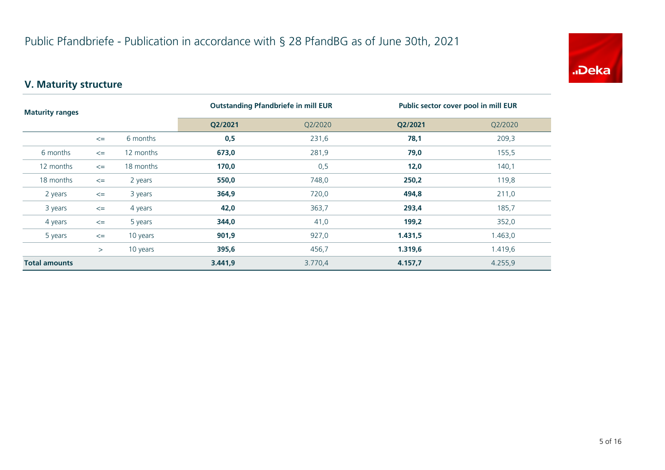

# **V. Maturity structure**

| <b>Maturity ranges</b> |        |           | <b>Outstanding Pfandbriefe in mill EUR</b> |         | Public sector cover pool in mill EUR |         |  |
|------------------------|--------|-----------|--------------------------------------------|---------|--------------------------------------|---------|--|
|                        |        | Q2/2021   | Q2/2020                                    | Q2/2021 | Q2/2020                              |         |  |
|                        | $\leq$ | 6 months  | 0,5                                        | 231,6   | 78,1                                 | 209,3   |  |
| 6 months               | $\leq$ | 12 months | 673,0                                      | 281,9   | 79,0                                 | 155,5   |  |
| 12 months              | $\leq$ | 18 months | 170,0                                      | 0,5     | 12,0                                 | 140,1   |  |
| 18 months              | $\leq$ | 2 years   | 550,0                                      | 748,0   | 250,2                                | 119,8   |  |
| 2 years                | $\leq$ | 3 years   | 364,9                                      | 720,0   | 494,8                                | 211,0   |  |
| 3 years                | $\leq$ | 4 years   | 42,0                                       | 363,7   | 293,4                                | 185,7   |  |
| 4 years                | $\leq$ | 5 years   | 344,0                                      | 41,0    | 199,2                                | 352,0   |  |
| 5 years                | $\leq$ | 10 years  | 901,9                                      | 927,0   | 1.431,5                              | 1.463,0 |  |
|                        | >      | 10 years  | 395,6                                      | 456,7   | 1.319,6                              | 1.419,6 |  |
| <b>Total amounts</b>   |        |           | 3.441,9                                    | 3.770,4 | 4.157,7                              | 4.255,9 |  |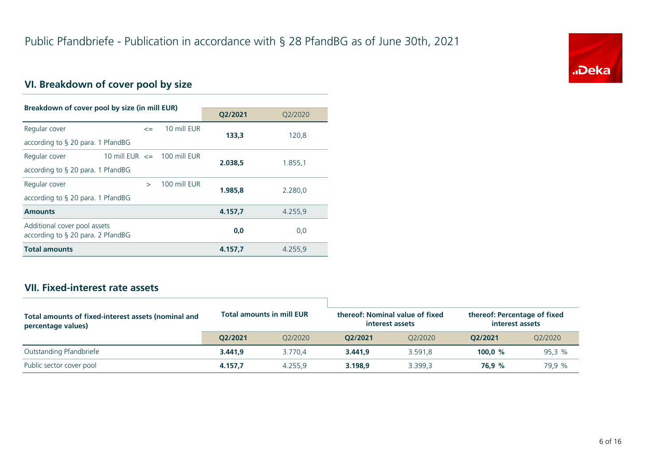

# **VI. Breakdown of cover pool by size**

| Breakdown of cover pool by size (in mill EUR)                        |                                 |               |              |         |         |
|----------------------------------------------------------------------|---------------------------------|---------------|--------------|---------|---------|
|                                                                      |                                 |               |              | Q2/2021 | O2/2020 |
| Regular cover                                                        |                                 | $\leq$        | 10 mill EUR  | 133,3   | 120,8   |
| according to $\S$ 20 para. 1 PfandBG                                 |                                 |               |              |         |         |
| Regular cover                                                        | 10 mill EUR $\leq$ 100 mill EUR |               |              | 2.038.5 | 1.855,1 |
| according to $\S$ 20 para. 1 PfandBG                                 |                                 |               |              |         |         |
| Regular cover                                                        |                                 | $\rightarrow$ | 100 mill EUR | 1.985.8 | 2.280,0 |
| according to $\S$ 20 para. 1 PfandBG                                 |                                 |               |              |         |         |
| <b>Amounts</b>                                                       |                                 |               |              | 4.157,7 | 4.255,9 |
| Additional cover pool assets<br>according to $\S$ 20 para. 2 PfandBG |                                 |               |              | 0,0     | 0,0     |
| <b>Total amounts</b>                                                 |                                 |               |              | 4.157,7 | 4.255,9 |

## **VII. Fixed-interest rate assets**

| Total amounts of fixed-interest assets (nominal and<br>percentage values) |         | <b>Total amounts in mill EUR</b> |         | thereof: Nominal value of fixed<br>interest assets | thereof: Percentage of fixed<br>interest assets |         |
|---------------------------------------------------------------------------|---------|----------------------------------|---------|----------------------------------------------------|-------------------------------------------------|---------|
|                                                                           | O2/2021 | 02/2020                          | O2/2021 | 02/2020                                            | 02/2021                                         | Q2/2020 |
| Outstanding Pfandbriefe                                                   | 3.441.9 | 3.770.4                          | 3.441.9 | 3.591.8                                            | 100.0 $%$                                       | 95.3%   |
| Public sector cover pool                                                  | 4.157.7 | 4.255.9                          | 3.198.9 | 3.399.3                                            | 76.9 %                                          | 79,9 %  |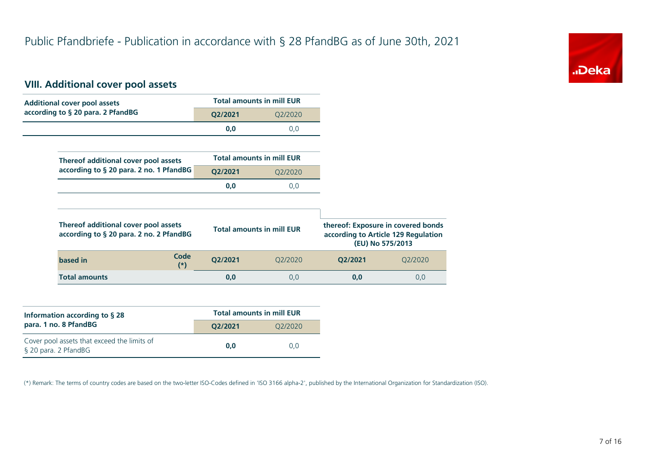

# **VIII. Additional cover pool assets**

| <b>Additional cover pool assets</b>     |                                  | <b>Total amounts in mill EUR</b> |                                     |                                    |
|-----------------------------------------|----------------------------------|----------------------------------|-------------------------------------|------------------------------------|
| according to § 20 para. 2 PfandBG       | Q2/2021                          | Q2/2020                          |                                     |                                    |
|                                         | 0,0                              | 0,0                              |                                     |                                    |
|                                         |                                  |                                  |                                     |                                    |
| Thereof additional cover pool assets    |                                  | <b>Total amounts in mill EUR</b> |                                     |                                    |
| according to § 20 para. 2 no. 1 PfandBG | Q2/2021                          | Q2/2020                          |                                     |                                    |
|                                         | 0,0                              | 0,0                              |                                     |                                    |
|                                         |                                  |                                  |                                     |                                    |
| Thereof additional cover pool assets    | <b>Total amounts in mill EUR</b> |                                  |                                     | thereof: Exposure in covered bonds |
| according to § 20 para. 2 no. 2 PfandBG |                                  |                                  | according to Article 129 Regulation | (EU) No 575/2013                   |
| Code<br>based in<br>$(*)$               | Q2/2021                          | Q2/2020                          | Q2/2021                             | Q2/2020                            |

| Information according to § 28                                       | <b>Total amounts in mill EUR</b> |         |  |  |  |
|---------------------------------------------------------------------|----------------------------------|---------|--|--|--|
| para. 1 no. 8 PfandBG                                               | O2/2021                          | O2/2020 |  |  |  |
| Cover pool assets that exceed the limits of<br>§ 20 para. 2 PfandBG | 0.0                              | 0.0     |  |  |  |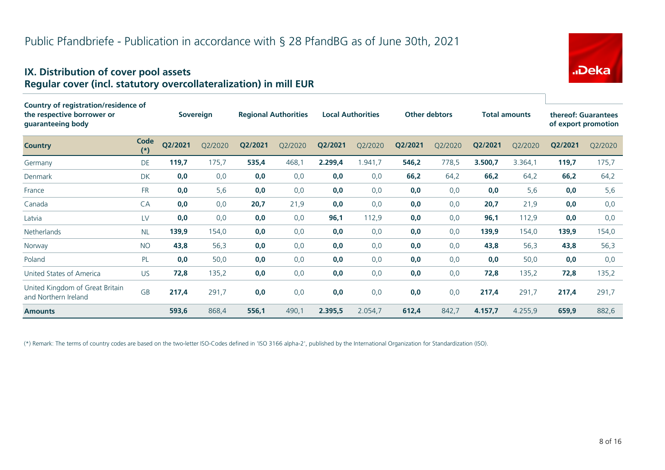#### **IX. Distribution of cover pool assets Regular cover (incl. statutory overcollateralization) in mill EUR**

| <b>Country of registration/residence of</b><br>the respective borrower or<br>guaranteeing body |               |         | Sovereign |         | <b>Regional Authorities</b> |         | <b>Local Authorities</b> |         | <b>Other debtors</b> |         | <b>Total amounts</b> |         | thereof: Guarantees<br>of export promotion |
|------------------------------------------------------------------------------------------------|---------------|---------|-----------|---------|-----------------------------|---------|--------------------------|---------|----------------------|---------|----------------------|---------|--------------------------------------------|
| <b>Country</b>                                                                                 | Code<br>$(*)$ | Q2/2021 | Q2/2020   | Q2/2021 | Q2/2020                     | Q2/2021 | Q2/2020                  | Q2/2021 | Q2/2020              | Q2/2021 | Q2/2020              | Q2/2021 | Q2/2020                                    |
| Germany                                                                                        | DE            | 119,7   | 175,7     | 535,4   | 468,1                       | 2.299,4 | 1.941,7                  | 546,2   | 778,5                | 3.500,7 | 3.364,1              | 119,7   | 175,7                                      |
| Denmark                                                                                        | <b>DK</b>     | 0,0     | 0,0       | 0,0     | 0,0                         | 0,0     | 0,0                      | 66,2    | 64,2                 | 66,2    | 64,2                 | 66,2    | 64,2                                       |
| France                                                                                         | <b>FR</b>     | 0,0     | 5,6       | 0,0     | 0,0                         | 0,0     | 0,0                      | 0,0     | 0,0                  | 0,0     | 5,6                  | 0,0     | 5,6                                        |
| Canada                                                                                         | CA            | 0,0     | 0,0       | 20,7    | 21,9                        | 0,0     | 0,0                      | 0,0     | 0,0                  | 20,7    | 21,9                 | 0,0     | 0,0                                        |
| Latvia                                                                                         | LV            | 0,0     | 0,0       | 0,0     | 0,0                         | 96,1    | 112,9                    | 0,0     | 0,0                  | 96,1    | 112,9                | 0,0     | 0,0                                        |
| <b>Netherlands</b>                                                                             | <b>NL</b>     | 139,9   | 154,0     | 0,0     | 0,0                         | 0,0     | 0,0                      | 0,0     | 0,0                  | 139,9   | 154,0                | 139,9   | 154,0                                      |
| Norway                                                                                         | <b>NO</b>     | 43,8    | 56,3      | 0,0     | 0,0                         | 0,0     | 0,0                      | 0,0     | 0,0                  | 43,8    | 56,3                 | 43,8    | 56,3                                       |
| Poland                                                                                         | PL            | 0,0     | 50,0      | 0,0     | 0,0                         | 0,0     | 0,0                      | 0,0     | 0,0                  | 0,0     | 50,0                 | 0,0     | 0,0                                        |
| United States of America                                                                       | <b>US</b>     | 72,8    | 135,2     | 0,0     | 0,0                         | 0,0     | 0,0                      | 0,0     | 0,0                  | 72,8    | 135,2                | 72,8    | 135,2                                      |
| United Kingdom of Great Britain<br>and Northern Ireland                                        | <b>GB</b>     | 217,4   | 291,7     | 0,0     | 0,0                         | 0,0     | 0,0                      | 0,0     | 0,0                  | 217,4   | 291,7                | 217,4   | 291,7                                      |
| <b>Amounts</b>                                                                                 |               | 593,6   | 868,4     | 556,1   | 490,1                       | 2.395,5 | 2.054,7                  | 612,4   | 842,7                | 4.157,7 | 4.255,9              | 659,9   | 882,6                                      |

(\*) Remark: The terms of country codes are based on the two-letter ISO-Codes defined in 'ISO 3166 alpha-2', published by the International Organization for Standardization (ISO).



"Deka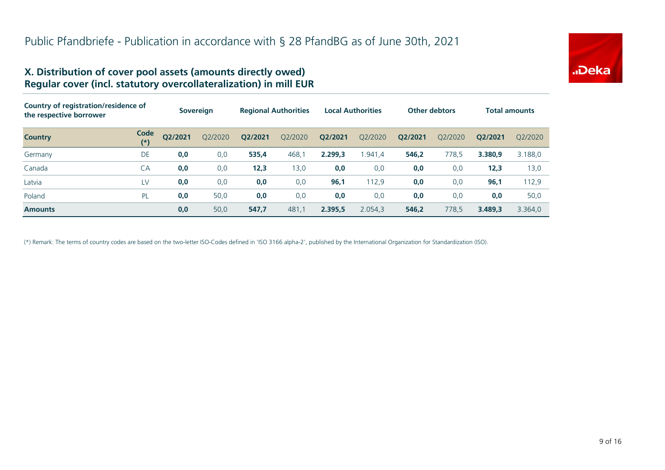

#### **X. Distribution of cover pool assets (amounts directly owed) Regular cover (incl. statutory overcollateralization) in mill EUR**

| Country of registration/residence of<br>the respective borrower |               |         | <b>Sovereign</b> | <b>Regional Authorities</b> |         |         | <b>Local Authorities</b> | <b>Other debtors</b> |         |         | <b>Total amounts</b> |
|-----------------------------------------------------------------|---------------|---------|------------------|-----------------------------|---------|---------|--------------------------|----------------------|---------|---------|----------------------|
| <b>Country</b>                                                  | Code<br>$(*)$ | Q2/2021 | Q2/2020          | Q2/2021                     | Q2/2020 | Q2/2021 | Q2/2020                  | Q2/2021              | O2/2020 | O2/2021 | 02/2020              |
| Germany                                                         | DE            | 0,0     | 0,0              | 535,4                       | 468,1   | 2.299.3 | 1.941,4                  | 546,2                | 778,5   | 3.380.9 | 3.188,0              |
| Canada                                                          | CA            | 0,0     | 0,0              | 12,3                        | 13,0    | 0,0     | 0,0                      | 0,0                  | 0,0     | 12,3    | 13,0                 |
| Latvia                                                          | LV            | 0,0     | 0,0              | 0,0                         | 0,0     | 96,1    | 112,9                    | 0,0                  | 0,0     | 96,1    | 112,9                |
| Poland                                                          | PL            | 0,0     | 50,0             | 0,0                         | 0,0     | 0,0     | 0,0                      | 0,0                  | 0,0     | 0,0     | 50,0                 |
| <b>Amounts</b>                                                  |               | 0,0     | 50,0             | 547,7                       | 481,1   | 2.395,5 | 2.054,3                  | 546,2                | 778,5   | 3.489.3 | 3.364,0              |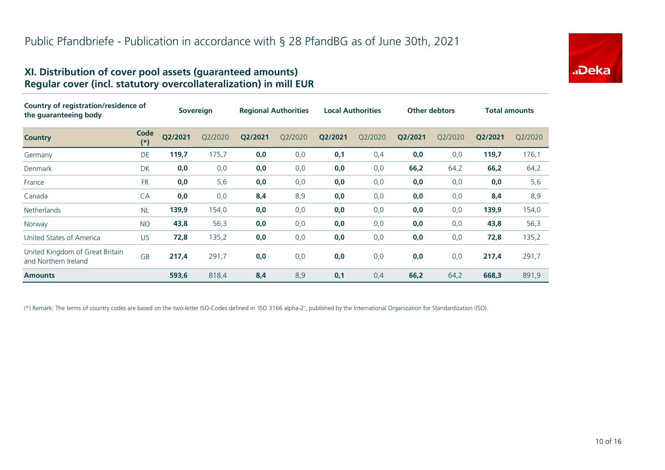

#### **XI. Distribution of cover pool assets (guaranteed amounts) Regular cover (incl. statutory overcollateralization) in mill EUR**

| <b>Country of registration/residence of</b><br>the guaranteeing body |               | <b>Sovereign</b> |         | <b>Regional Authorities</b> |         | <b>Local Authorities</b> |         | <b>Other debtors</b> |         | <b>Total amounts</b> |         |
|----------------------------------------------------------------------|---------------|------------------|---------|-----------------------------|---------|--------------------------|---------|----------------------|---------|----------------------|---------|
| <b>Country</b>                                                       | Code<br>$(*)$ | Q2/2021          | Q2/2020 | Q2/2021                     | Q2/2020 | Q2/2021                  | Q2/2020 | Q2/2021              | Q2/2020 | Q2/2021              | Q2/2020 |
| Germany                                                              | DE            | 119,7            | 175,7   | 0,0                         | 0,0     | 0,1                      | 0,4     | 0,0                  | 0,0     | 119,7                | 176,1   |
| <b>Denmark</b>                                                       | <b>DK</b>     | 0,0              | 0,0     | 0,0                         | 0,0     | 0,0                      | 0,0     | 66,2                 | 64,2    | 66,2                 | 64,2    |
| France                                                               | <b>FR</b>     | 0,0              | 5,6     | 0,0                         | 0,0     | 0,0                      | 0,0     | 0,0                  | 0,0     | 0,0                  | 5,6     |
| Canada                                                               | CA            | 0,0              | 0,0     | 8,4                         | 8,9     | 0,0                      | 0,0     | 0,0                  | 0,0     | 8,4                  | 8,9     |
| <b>Netherlands</b>                                                   | <b>NL</b>     | 139,9            | 154,0   | 0,0                         | 0,0     | 0,0                      | 0,0     | 0,0                  | 0,0     | 139,9                | 154,0   |
| Norway                                                               | <b>NO</b>     | 43,8             | 56,3    | 0,0                         | 0,0     | 0,0                      | 0,0     | 0,0                  | 0,0     | 43,8                 | 56,3    |
| United States of America                                             | <b>US</b>     | 72,8             | 135,2   | 0,0                         | 0,0     | 0,0                      | 0,0     | 0,0                  | 0,0     | 72,8                 | 135,2   |
| United Kingdom of Great Britain<br>and Northern Ireland              | <b>GB</b>     | 217,4            | 291,7   | 0,0                         | 0,0     | 0,0                      | 0,0     | 0,0                  | 0,0     | 217,4                | 291,7   |
| <b>Amounts</b>                                                       |               | 593,6            | 818,4   | 8,4                         | 8,9     | 0,1                      | 0,4     | 66,2                 | 64,2    | 668,3                | 891,9   |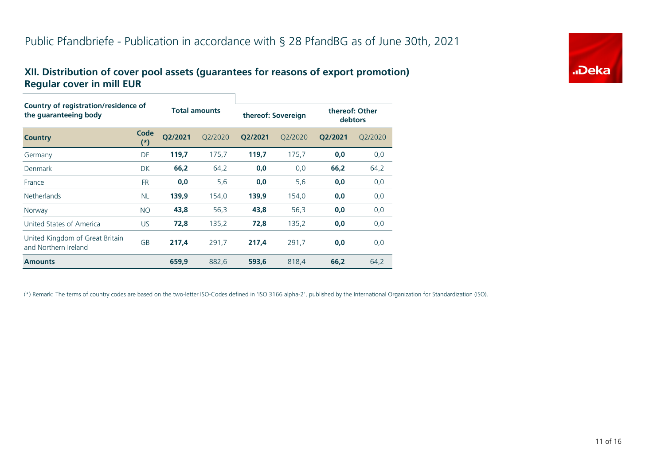#### **XII. Distribution of cover pool assets (guarantees for reasons of export promotion) Regular cover in mill EUR**

| <b>Country of registration/residence of</b><br>the guaranteeing body |               |         |                      |                    |         |                           |         |  |  |  |
|----------------------------------------------------------------------|---------------|---------|----------------------|--------------------|---------|---------------------------|---------|--|--|--|
|                                                                      |               |         | <b>Total amounts</b> | thereof: Sovereign |         | thereof: Other<br>debtors |         |  |  |  |
| <b>Country</b>                                                       | Code<br>$(*)$ | O2/2021 | O2/2020              | Q2/2021            | O2/2020 | Q2/2021                   | O2/2020 |  |  |  |
| Germany                                                              | DE            | 119,7   | 175,7                | 119,7              | 175,7   | 0,0                       | 0,0     |  |  |  |
| Denmark                                                              | <b>DK</b>     | 66,2    | 64,2                 | 0,0                | 0,0     | 66,2                      | 64,2    |  |  |  |
| France                                                               | <b>FR</b>     | 0,0     | 5,6                  | 0,0                | 5,6     | 0,0                       | 0,0     |  |  |  |
| <b>Netherlands</b>                                                   | <b>NL</b>     | 139,9   | 154,0                | 139,9              | 154,0   | 0,0                       | 0,0     |  |  |  |
| Norway                                                               | <b>NO</b>     | 43,8    | 56,3                 | 43,8               | 56,3    | 0,0                       | 0,0     |  |  |  |
| United States of America                                             | <b>US</b>     | 72,8    | 135,2                | 72,8               | 135,2   | 0,0                       | 0,0     |  |  |  |
| United Kingdom of Great Britain<br>and Northern Ireland              | <b>GB</b>     | 217,4   | 291,7                | 217,4              | 291,7   | 0,0                       | 0,0     |  |  |  |
| <b>Amounts</b>                                                       |               | 659,9   | 882,6                | 593,6              | 818,4   | 66,2                      | 64,2    |  |  |  |

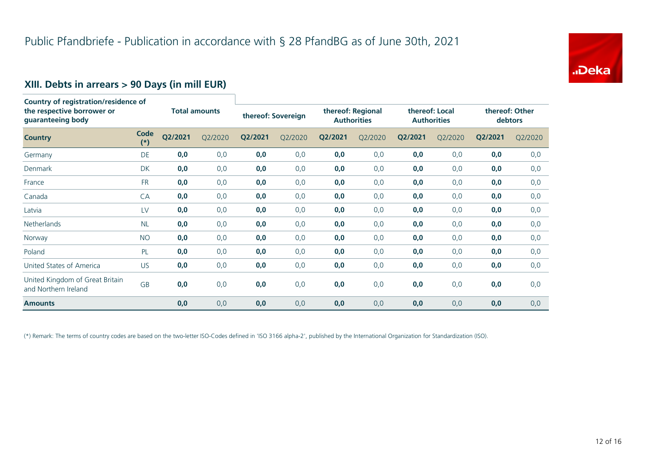

# **XIII. Debts in arrears > 90 Days (in mill EUR)**

| <b>Country of registration/residence of</b><br>the respective borrower or<br>guaranteeing body |               | <b>Total amounts</b> |         | thereof: Sovereign |         | thereof: Regional<br><b>Authorities</b> |         | thereof: Local<br><b>Authorities</b> |         | thereof: Other<br>debtors |         |
|------------------------------------------------------------------------------------------------|---------------|----------------------|---------|--------------------|---------|-----------------------------------------|---------|--------------------------------------|---------|---------------------------|---------|
| <b>Country</b>                                                                                 | Code<br>$(*)$ | Q2/2021              | Q2/2020 | Q2/2021            | Q2/2020 | Q2/2021                                 | Q2/2020 | Q2/2021                              | Q2/2020 | Q2/2021                   | Q2/2020 |
| Germany                                                                                        | <b>DE</b>     | 0,0                  | 0,0     | 0,0                | 0,0     | 0,0                                     | 0,0     | 0,0                                  | 0,0     | 0,0                       | 0,0     |
| <b>Denmark</b>                                                                                 | DK            | 0,0                  | 0,0     | 0,0                | 0,0     | 0,0                                     | 0,0     | 0,0                                  | 0,0     | 0,0                       | 0,0     |
| France                                                                                         | <b>FR</b>     | 0,0                  | 0,0     | 0,0                | 0,0     | 0,0                                     | 0,0     | 0,0                                  | 0,0     | 0,0                       | 0,0     |
| Canada                                                                                         | CA            | 0,0                  | 0,0     | 0,0                | 0,0     | 0,0                                     | 0,0     | 0,0                                  | 0,0     | 0,0                       | 0,0     |
| Latvia                                                                                         | LV            | 0,0                  | 0,0     | 0,0                | 0,0     | 0,0                                     | 0,0     | 0,0                                  | 0,0     | 0,0                       | 0,0     |
| Netherlands                                                                                    | <b>NL</b>     | 0,0                  | 0,0     | 0,0                | 0,0     | 0,0                                     | 0,0     | 0,0                                  | 0,0     | 0,0                       | 0,0     |
| Norway                                                                                         | <b>NO</b>     | 0,0                  | 0,0     | 0,0                | 0,0     | 0,0                                     | 0,0     | 0,0                                  | 0,0     | 0,0                       | 0,0     |
| Poland                                                                                         | PL            | 0,0                  | 0,0     | 0,0                | 0,0     | 0,0                                     | 0,0     | 0,0                                  | 0,0     | 0,0                       | 0,0     |
| United States of America                                                                       | <b>US</b>     | 0,0                  | 0,0     | 0,0                | 0,0     | 0,0                                     | 0,0     | 0,0                                  | 0,0     | 0,0                       | 0,0     |
| United Kingdom of Great Britain<br>and Northern Ireland                                        | <b>GB</b>     | 0,0                  | 0,0     | 0,0                | 0,0     | 0,0                                     | 0,0     | 0,0                                  | 0,0     | 0,0                       | 0,0     |
| <b>Amounts</b>                                                                                 |               | 0,0                  | 0,0     | 0,0                | 0,0     | 0,0                                     | 0,0     | 0,0                                  | 0,0     | 0,0                       | 0,0     |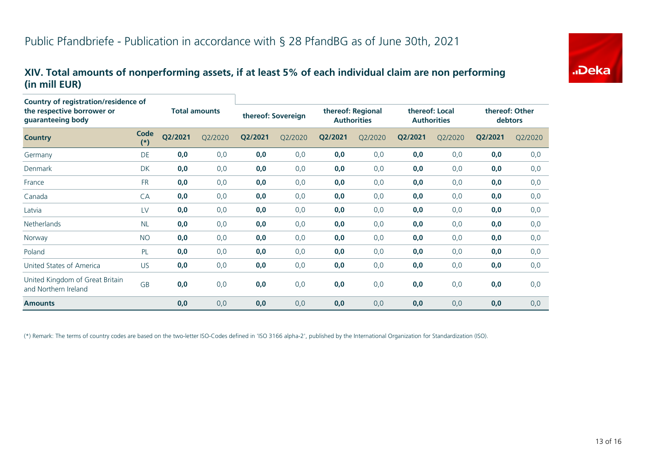#### **XIV. Total amounts of nonperforming assets, if at least 5% of each individual claim are non performing (in mill EUR)**

| Country of registration/residence of                    |               |                      |         |                    |         |                                         |         |                                      |         |                           |         |
|---------------------------------------------------------|---------------|----------------------|---------|--------------------|---------|-----------------------------------------|---------|--------------------------------------|---------|---------------------------|---------|
| the respective borrower or<br>guaranteeing body         |               | <b>Total amounts</b> |         | thereof: Sovereign |         | thereof: Regional<br><b>Authorities</b> |         | thereof: Local<br><b>Authorities</b> |         | thereof: Other<br>debtors |         |
| <b>Country</b>                                          | Code<br>$(*)$ | Q2/2021              | Q2/2020 | Q2/2021            | Q2/2020 | Q2/2021                                 | Q2/2020 | Q2/2021                              | Q2/2020 | Q2/2021                   | Q2/2020 |
| Germany                                                 | DE            | 0,0                  | 0,0     | 0,0                | 0,0     | 0,0                                     | 0,0     | 0,0                                  | 0,0     | 0,0                       | 0,0     |
| Denmark                                                 | DK            | 0,0                  | 0,0     | 0,0                | 0,0     | 0,0                                     | 0,0     | 0,0                                  | 0,0     | 0,0                       | 0,0     |
| France                                                  | <b>FR</b>     | 0,0                  | 0,0     | 0,0                | 0,0     | 0,0                                     | 0,0     | 0,0                                  | 0,0     | 0,0                       | 0,0     |
| Canada                                                  | CA            | 0,0                  | 0,0     | 0,0                | 0,0     | 0,0                                     | 0,0     | 0,0                                  | 0,0     | 0,0                       | 0,0     |
| Latvia                                                  | LV            | 0,0                  | 0,0     | 0,0                | 0,0     | 0,0                                     | 0,0     | 0,0                                  | 0,0     | 0,0                       | 0,0     |
| <b>Netherlands</b>                                      | <b>NL</b>     | 0,0                  | 0,0     | 0,0                | 0,0     | 0,0                                     | 0,0     | 0,0                                  | 0,0     | 0,0                       | 0,0     |
| Norway                                                  | <b>NO</b>     | 0,0                  | 0,0     | 0,0                | 0,0     | 0,0                                     | 0,0     | 0,0                                  | 0,0     | 0,0                       | 0,0     |
| Poland                                                  | PL            | 0,0                  | 0, 0    | 0,0                | 0,0     | 0,0                                     | 0,0     | 0,0                                  | 0,0     | 0,0                       | 0,0     |
| United States of America                                | <b>US</b>     | 0,0                  | 0,0     | 0,0                | 0,0     | 0,0                                     | 0,0     | 0,0                                  | 0,0     | 0,0                       | 0,0     |
| United Kingdom of Great Britain<br>and Northern Ireland | GB            | 0,0                  | 0,0     | 0,0                | 0,0     | 0,0                                     | 0,0     | 0,0                                  | 0,0     | 0,0                       | 0,0     |
| <b>Amounts</b>                                          |               | 0,0                  | 0,0     | 0,0                | 0,0     | 0,0                                     | 0,0     | 0,0                                  | 0,0     | 0,0                       | 0,0     |

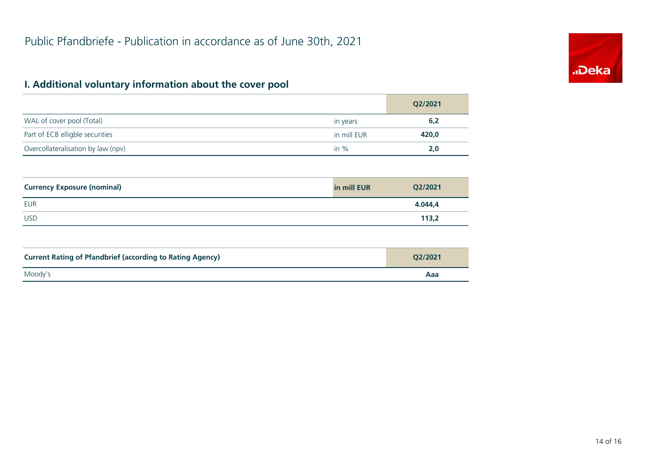# "Deka

# **I. Additional voluntary information about the cover pool**

|                                    |             | Q2/2021 |
|------------------------------------|-------------|---------|
| WAL of cover pool (Total)          | in years    | 6,2     |
| Part of ECB elligble securities    | in mill EUR | 420,0   |
| Overcollateralisation by law (npv) | in $%$      | 2,0     |

| <b>Currency Exposure (nominal)</b> | in mill EUR | Q2/2021 |
|------------------------------------|-------------|---------|
| <b>EUR</b>                         |             | 4.044.4 |
| <b>USD</b>                         |             | 113,2   |

| <b>Current Rating of Pfandbrief (according to Rating Agency)</b> | O2/2021 |
|------------------------------------------------------------------|---------|
| Moody's                                                          | Aaa     |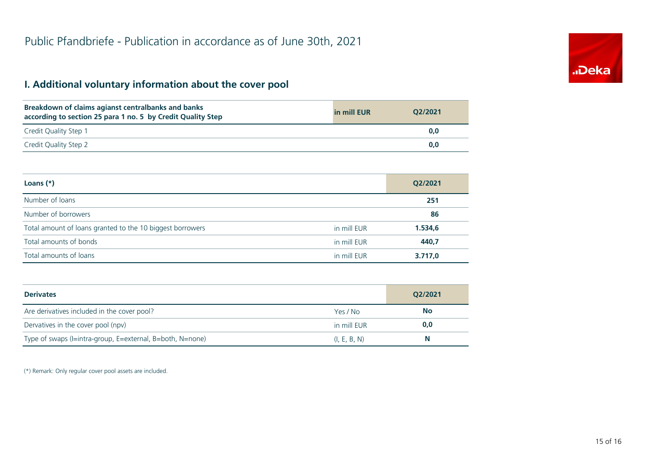# **I. Additional voluntary information about the cover pool**

| Breakdown of claims agianst centralbanks and banks<br>according to section 25 para 1 no. 5 by Credit Quality Step | in mill EUR | O2/2021 |
|-------------------------------------------------------------------------------------------------------------------|-------------|---------|
| Credit Quality Step 1                                                                                             |             | 0.0     |
| Credit Quality Step 2                                                                                             |             | 0.0     |

| Loans $(*)$                                               |             | Q2/2021 |
|-----------------------------------------------------------|-------------|---------|
| Number of loans                                           |             | 251     |
| Number of borrowers                                       |             | 86      |
| Total amount of loans granted to the 10 biggest borrowers | in mill EUR | 1.534,6 |
| Total amounts of bonds                                    | in mill EUR | 440,7   |
| Total amounts of loans                                    | in mill EUR | 3.717,0 |

| <b>Derivates</b>                                          |              | O2/2021   |
|-----------------------------------------------------------|--------------|-----------|
| Are derivatives included in the cover pool?               | Yes / No     | <b>No</b> |
| Dervatives in the cover pool (npv)                        | in mill EUR  | 0,0       |
| Type of swaps (I=intra-group, E=external, B=both, N=none) | (I, E, B, N) | N         |

(\*) Remark: Only regular cover pool assets are included.